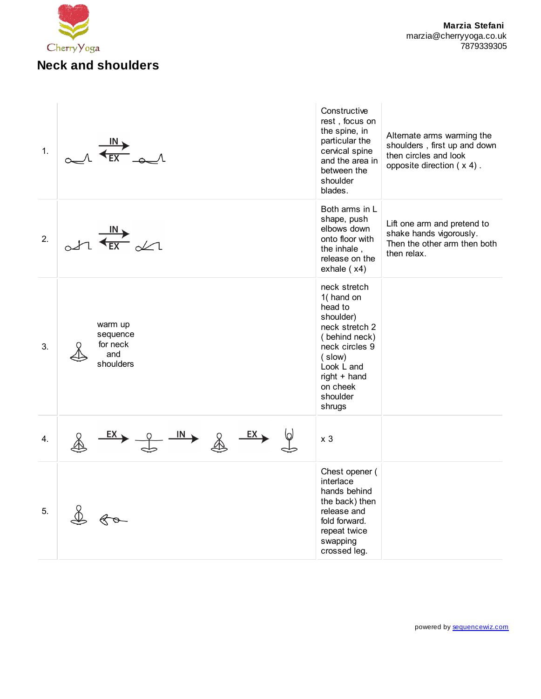

| 1. |                                                                            | Constructive<br>rest, focus on<br>the spine, in<br>particular the<br>cervical spine<br>and the area in<br>between the<br>shoulder<br>blades.                                       | Alternate arms warming the<br>shoulders, first up and down<br>then circles and look<br>opposite direction $(x 4)$ . |
|----|----------------------------------------------------------------------------|------------------------------------------------------------------------------------------------------------------------------------------------------------------------------------|---------------------------------------------------------------------------------------------------------------------|
| 2. | $\frac{IN}{\leftarrow}$                                                    | Both arms in L<br>shape, push<br>elbows down<br>onto floor with<br>the inhale,<br>release on the<br>exhale $(x4)$                                                                  | Lift one arm and pretend to<br>shake hands vigorously.<br>Then the other arm then both<br>then relax.               |
| 3. | warm up<br>sequence<br>for neck<br>and<br>shoulders                        | neck stretch<br>1(hand on<br>head to<br>shoulder)<br>neck stretch 2<br>(behind neck)<br>neck circles 9<br>(slow)<br>Look L and<br>$right + hand$<br>on cheek<br>shoulder<br>shrugs |                                                                                                                     |
| 4. | $\frac{2}{\sqrt{2}}$ $\frac{EX}{X}$<br>$\frac{1}{\sqrt{1}}$<br><u>EX 、</u> | x <sub>3</sub>                                                                                                                                                                     |                                                                                                                     |
| 5. |                                                                            | Chest opener (<br>interlace<br>hands behind<br>the back) then<br>release and<br>fold forward.<br>repeat twice<br>swapping<br>crossed leg.                                          |                                                                                                                     |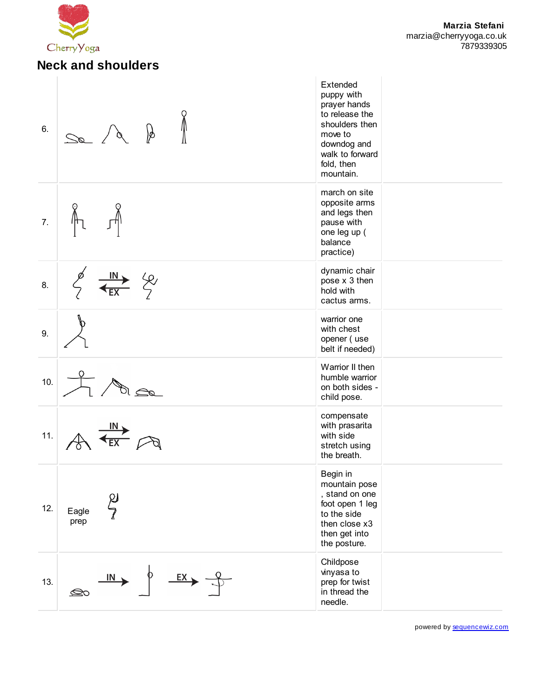

| 6.  | Þ                                    | Extended<br>puppy with<br>prayer hands<br>to release the<br>shoulders then<br>move to<br>downdog and<br>walk to forward<br>fold, then<br>mountain. |  |
|-----|--------------------------------------|----------------------------------------------------------------------------------------------------------------------------------------------------|--|
| 7.  |                                      | march on site<br>opposite arms<br>and legs then<br>pause with<br>one leg up (<br>balance<br>practice)                                              |  |
| 8.  | <u>IN</u><br>ξy                      | dynamic chair<br>pose x 3 then<br>hold with<br>cactus arms.                                                                                        |  |
| 9.  |                                      | warrior one<br>with chest<br>opener (use<br>belt if needed)                                                                                        |  |
| 10. |                                      | Warrior II then<br>humble warrior<br>on both sides -<br>child pose.                                                                                |  |
| 11. |                                      | compensate<br>with prasarita<br>with side<br>stretch using<br>the breath.                                                                          |  |
| 12. | $\frac{\rho}{\ell}$<br>Eagle<br>prep | Begin in<br>mountain pose<br>, stand on one<br>foot open 1 leg<br>to the side<br>then close x3<br>then get into<br>the posture.                    |  |
| 13. | $\xrightarrow{EX}$<br>IN<br>⊘        | Childpose<br>vinyasa to<br>prep for twist<br>in thread the<br>needle.                                                                              |  |

powered by [sequencewiz.com](http://www.sequencewiz.com/)